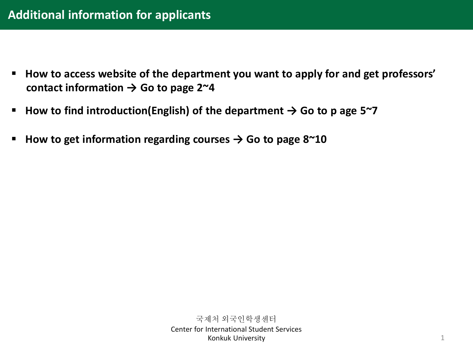- **How to access website of the department you want to apply for and get professors' contact information → Go to page 2~4**
- **How to find introduction(English) of the department → Go to p age 5~7**
- **How to get information regarding courses → Go to page 8~10**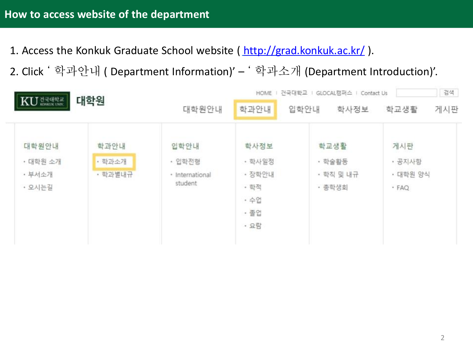- 1. Access the Konkuk Graduate School website ( <http://grad.konkuk.ac.kr/> ).
- 2. Click ' 학과안내 ( Department Information)' ' 학과소개 (Department Introduction)'.

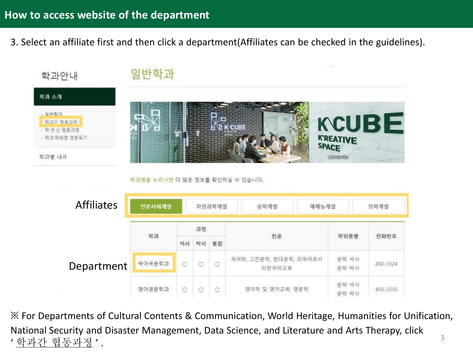3. Select an affiliate first and then click a department(Affiliates can be checked in the guidelines).



※ For Departments of Cultural Contents & Communication, World Heritage, Humanities for Unification, National Security and Disaster Management, Data Science, and Literature and Arts Therapy, click ' 학과간 협동과정 ' . 3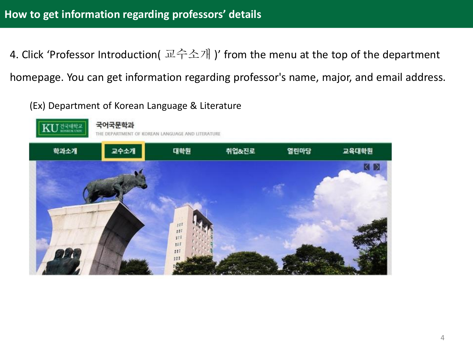4. Click 'Professor Introduction( 교수소개 )' from the menu at the top of the department homepage. You can get information regarding professor's name, major, and email address.

(Ex) Department of Korean Language & Literature

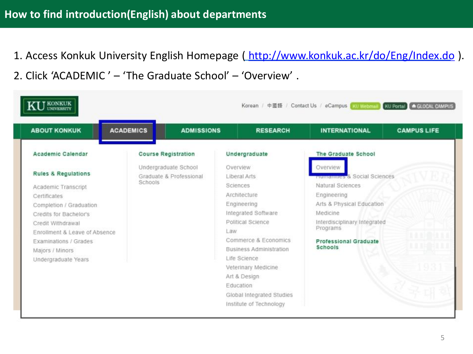1. Access Konkuk University English Homepage (<http://www.konkuk.ac.kr/do/Eng/Index.do>). 2. Click 'ACADEMIC ' – 'The Graduate School' – 'Overview' .

| <b>ABOUT KONKUK</b>                                | <b>ACADEMICS</b><br><b>ADMISSIONS</b>                      | <b>RESEARCH</b>                | <b>CAMPUS LIFE</b><br><b>INTERNATIONAL</b> |
|----------------------------------------------------|------------------------------------------------------------|--------------------------------|--------------------------------------------|
| Academic Calendar                                  | <b>Course Registration</b>                                 | Undergraduate                  | The Graduate School                        |
| <b>Rules &amp; Regulations</b>                     | Undergraduate School<br>Graduate & Professional<br>Schools | Overview<br>Liberal Arts       | Overview<br>numanities & Social Sciences   |
| Academic Transcript<br>Certificates                |                                                            | Sciences<br>Architecture       | Natural Sciences<br>Engineering            |
| Completion / Graduation                            |                                                            | Engineering                    | Arts & Physical Education                  |
| Credits for Bachelor's                             |                                                            | Integrated Software            | Medicine                                   |
| Credit Withdrawal<br>Enrollment & Leave of Absence |                                                            | Political Science<br>Law       | Interdisciplinary Integrated<br>Programs   |
| Examinations / Grades                              |                                                            | Commerce & Economics           | <b>Professional Graduate</b>               |
| Majors / Minors                                    |                                                            | <b>Business Administration</b> | Schools                                    |
| Undergraduate Years                                |                                                            | Life Science                   |                                            |
|                                                    |                                                            | Veterinary Medicine            |                                            |
|                                                    |                                                            | Art & Design                   |                                            |
|                                                    |                                                            | Education                      |                                            |
|                                                    |                                                            | Global Integrated Studies      |                                            |
|                                                    |                                                            | Institute of Technology        |                                            |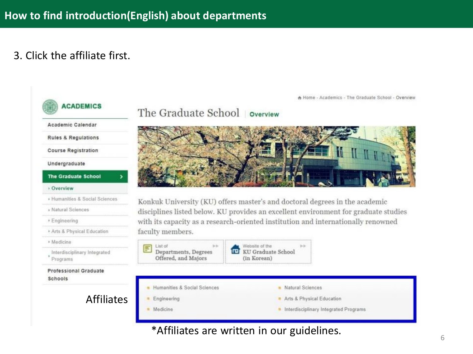## 3. Click the affiliate first.



A Home - Academics - The Graduate School - Overview

### The Graduate School overview



Konkuk University (KU) offers master's and doctoral degrees in the academic disciplines listed below. KU provides an excellent environment for graduate studies with its capacity as a research-oriented institution and internationally renowned



\*Affiliates are written in our guidelines.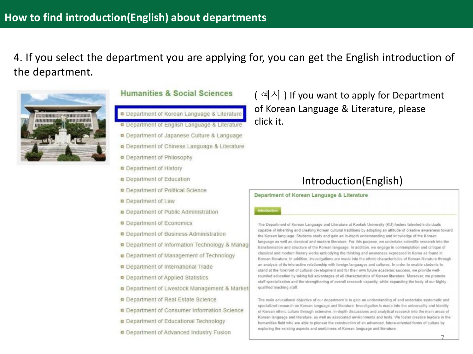4. If you select the department you are applying for, you can get the English introduction of the department.



### Humanities & Social Sciences

- Department of Korean Language & Literature
- **Department of English Language & Literature**
- **D** Department of Japanese Culture & Language
- **a** Department of Chinese Language & Literature
- **Department of Philosophy**
- **a** Department of History
- **a** Department of Education
- Department of Political Science
- **Department of Law**
- **Department of Public Administration**
- **Department of Economics**
- **D** Department of Business Administration
- **D** Department of Information Technology & Manag
- **Department of Management of Technology**
- **Department of International Trade**
- Department of Applied Statistics
- o Department of Livestock Management & Market
- Department of Real Estate Science
- **Q** Department of Consumer Information Science
- **Department of Educational Technology**
- Department of Advanced Industry Fusion

 $(\mathbb{A}^{\mathbb{A}})$  If you want to apply for Department of Korean Language & Literature, please click it.

### Introduction(English)

#### Department of Korean Language & Literature

#### **Introduction**

The Department of Korean Language and Literature at Konkuk University (KU) fosters talented individuals capable of inheriting and creating Korean cultural traditions by adopting an attitude of creative awareness toward the Korean language. Students study and gain an in-depth understanding and knowledge of the Korean language as well as classical and modern literature. For this purpose, we undertake scientific research into the transformation and structure of the Korean language. In addition, we engage in contemplation and critique of classical and modern literary works embodying the thinking and awareness expressed in Korea as found in Korean Rierature. In addition, investigations are made into the ethnic characteristics of Korean Ilterature through an analysis of its interactive relationship with foreign languages and cultures. In order to enable students to stand at the forefront of cultural development and for their own future academic success, we provide wellrounded education by taking full advantages of all characteristics of Korean literature. Moreover, we promote staff specialization and the strengthening of overall research capacity, while expanding the body of our highly qualified teaching staff.

The main educational objective of our department is to gain an understanding of and undertake systematic and specialized research on Korean language and literature. Investigation is made into the universality and identity of Korean ethnic culture through extensive, in-depth discussions and analytical research into the main areas of Korean language and literature, as well as associated environments and texts. We foster creative leaders in the humanities field who are able to pioneer the construction of an advanced, future-oriented forms of culture by exploring the existing aspects and usefulness of Korean language and literature.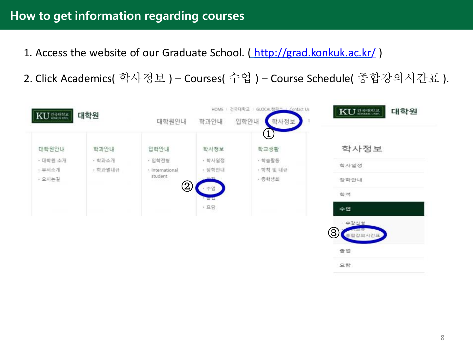# **How to get information regarding courses**

- 1. Access the website of our Graduate School. (<http://grad.konkuk.ac.kr/>)
- 2. Click Academics( 학사정보 ) Courses( 수업 ) Course Schedule( 종합강의시간표 ).

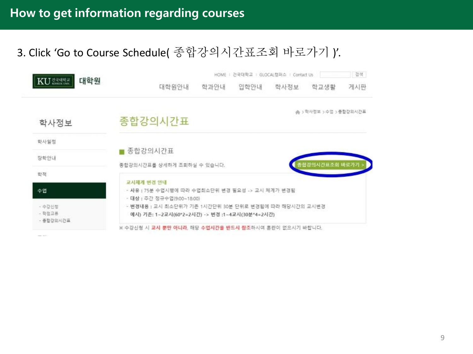# 3. Click 'Go to Course Schedule( 종합강의시간표조회 바로가기 )'.